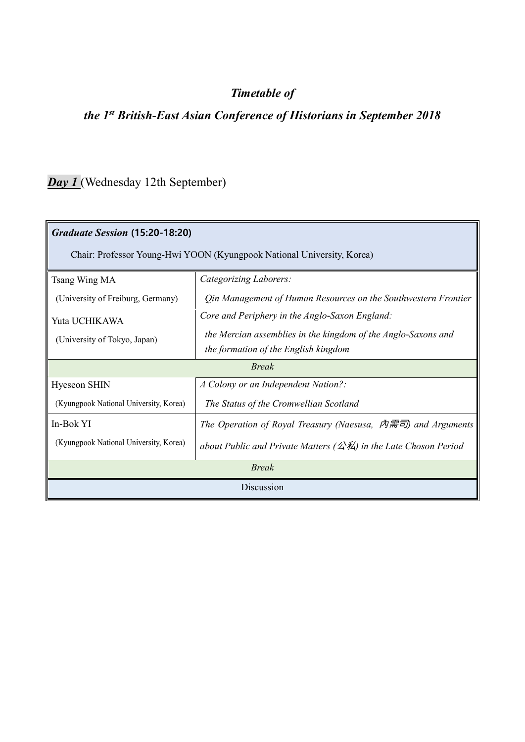#### *Timetable of*

### *the 1st British-East Asian Conference of Historians in September 2018*

### *Day 1* (Wednesday 12th September)

| Graduate Session (15:20-18:20)                                         |                                                                                                                                                         |  |
|------------------------------------------------------------------------|---------------------------------------------------------------------------------------------------------------------------------------------------------|--|
| Chair: Professor Young-Hwi YOON (Kyungpook National University, Korea) |                                                                                                                                                         |  |
| Tsang Wing MA                                                          | Categorizing Laborers:                                                                                                                                  |  |
| (University of Freiburg, Germany)                                      | Qin Management of Human Resources on the Southwestern Frontier                                                                                          |  |
| Yuta UCHIKAWA<br>(University of Tokyo, Japan)                          | Core and Periphery in the Anglo-Saxon England:<br>the Mercian assemblies in the kingdom of the Anglo-Saxons and<br>the formation of the English kingdom |  |
| <b>Break</b>                                                           |                                                                                                                                                         |  |
| <b>Hyeseon SHIN</b>                                                    | A Colony or an Independent Nation?:                                                                                                                     |  |
| (Kyungpook National University, Korea)                                 | The Status of the Cromwellian Scotland                                                                                                                  |  |
| In-Bok YI                                                              | The Operation of Royal Treasury (Naesusa, $\bar{\rho}$ \marrorset) and Arguments                                                                        |  |
| (Kyungpook National University, Korea)                                 | about Public and Private Matters ( $\triangle \text{K}$ ) in the Late Choson Period                                                                     |  |
| <b>Break</b>                                                           |                                                                                                                                                         |  |
| Discussion                                                             |                                                                                                                                                         |  |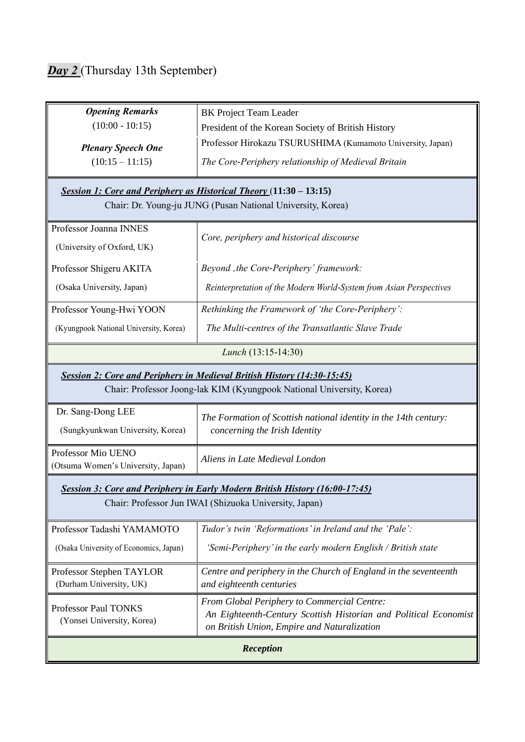## *Day 2* (Thursday 13th September)

| <b>Opening Remarks</b>                                                         | <b>BK</b> Project Team Leader                                                                                   |  |
|--------------------------------------------------------------------------------|-----------------------------------------------------------------------------------------------------------------|--|
| $(10:00 - 10:15)$                                                              | President of the Korean Society of British History                                                              |  |
| <b>Plenary Speech One</b>                                                      | Professor Hirokazu TSURUSHIMA (Kumamoto University, Japan)                                                      |  |
| $(10:15 - 11:15)$                                                              | The Core-Periphery relationship of Medieval Britain                                                             |  |
|                                                                                |                                                                                                                 |  |
| Session 1: Core and Periphery as Historical Theory (11:30 - 13:15)             |                                                                                                                 |  |
| Chair: Dr. Young-ju JUNG (Pusan National University, Korea)                    |                                                                                                                 |  |
| Professor Joanna INNES                                                         |                                                                                                                 |  |
| (University of Oxford, UK)                                                     | Core, periphery and historical discourse                                                                        |  |
| Professor Shigeru AKITA                                                        | Beyond , the Core-Periphery' framework:                                                                         |  |
| (Osaka University, Japan)                                                      | Reinterpretation of the Modern World-System from Asian Perspectives                                             |  |
| Professor Young-Hwi YOON                                                       | Rethinking the Framework of 'the Core-Periphery':                                                               |  |
| (Kyungpook National University, Korea)                                         | The Multi-centres of the Transatlantic Slave Trade                                                              |  |
|                                                                                | Lunch (13:15-14:30)                                                                                             |  |
| <b>Session 2: Core and Periphery in Medieval British History (14:30-15:45)</b> |                                                                                                                 |  |
|                                                                                | Chair: Professor Joong-lak KIM (Kyungpook National University, Korea)                                           |  |
| Dr. Sang-Dong LEE                                                              | The Formation of Scottish national identity in the 14th century:                                                |  |
| (Sungkyunkwan University, Korea)                                               | concerning the Irish Identity                                                                                   |  |
| Professor Mio UENO<br>(Otsuma Women's University, Japan)                       | Aliens in Late Medieval London                                                                                  |  |
|                                                                                | Session 3: Core and Periphery in Early Modern British History (16:00-17:45)                                     |  |
| Chair: Professor Jun IWAI (Shizuoka University, Japan)                         |                                                                                                                 |  |
| Professor Tadashi YAMAMOTO                                                     | Tudor's twin 'Reformations' in Ireland and the 'Pale':                                                          |  |
| (Osaka University of Economics, Japan)                                         | 'Semi-Periphery' in the early modern English / British state                                                    |  |
| Professor Stephen TAYLOR                                                       | Centre and periphery in the Church of England in the seventeenth                                                |  |
| (Durham University, UK)                                                        | and eighteenth centuries                                                                                        |  |
| Professor Paul TONKS                                                           | <b>From Global Periphery to Commercial Centre:</b>                                                              |  |
| (Yonsei University, Korea)                                                     | An Eighteenth-Century Scottish Historian and Political Economist<br>on British Union, Empire and Naturalization |  |
| Reception                                                                      |                                                                                                                 |  |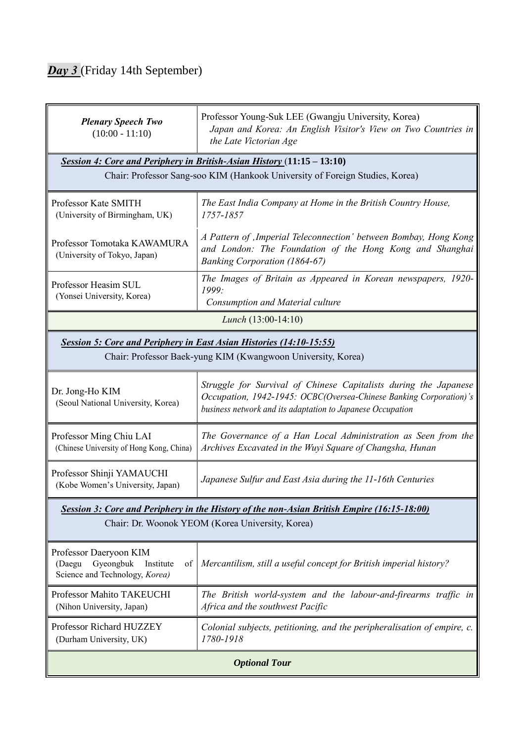### *Day 3* (Friday 14th September)

| <b>Plenary Speech Two</b><br>$(10:00 - 11:10)$                                                     | Professor Young-Suk LEE (Gwangju University, Korea)<br>Japan and Korea: An English Visitor's View on Two Countries in<br>the Late Victorian Age                                                      |  |
|----------------------------------------------------------------------------------------------------|------------------------------------------------------------------------------------------------------------------------------------------------------------------------------------------------------|--|
| Session 4: Core and Periphery in British-Asian History (11:15 - 13:10)                             |                                                                                                                                                                                                      |  |
| Chair: Professor Sang-soo KIM (Hankook University of Foreign Studies, Korea)                       |                                                                                                                                                                                                      |  |
| Professor Kate SMITH<br>(University of Birmingham, UK)                                             | The East India Company at Home in the British Country House,<br>1757-1857                                                                                                                            |  |
| Professor Tomotaka KAWAMURA<br>(University of Tokyo, Japan)                                        | A Pattern of , Imperial Teleconnection' between Bombay, Hong Kong<br>and London: The Foundation of the Hong Kong and Shanghai<br><b>Banking Corporation (1864-67)</b>                                |  |
| Professor Heasim SUL<br>(Yonsei University, Korea)                                                 | The Images of Britain as Appeared in Korean newspapers, 1920-<br>1999:<br>Consumption and Material culture                                                                                           |  |
|                                                                                                    | <i>Lunch</i> $(13:00-14:10)$                                                                                                                                                                         |  |
| <b>Session 5: Core and Periphery in East Asian Histories (14:10-15:55)</b>                         |                                                                                                                                                                                                      |  |
| Chair: Professor Baek-yung KIM (Kwangwoon University, Korea)                                       |                                                                                                                                                                                                      |  |
| Dr. Jong-Ho KIM<br>(Seoul National University, Korea)                                              | Struggle for Survival of Chinese Capitalists during the Japanese<br>Occupation, 1942-1945: OCBC(Oversea-Chinese Banking Corporation)'s<br>business network and its adaptation to Japanese Occupation |  |
| Professor Ming Chiu LAI<br>(Chinese University of Hong Kong, China)                                | The Governance of a Han Local Administration as Seen from the<br>Archives Excavated in the Wuyi Square of Changsha, Hunan                                                                            |  |
| Professor Shinji YAMAUCHI<br>(Kobe Women's University, Japan)                                      | Japanese Sulfur and East Asia during the 11-16th Centuries                                                                                                                                           |  |
|                                                                                                    | Session 3: Core and Periphery in the History of the non-Asian British Empire (16:15-18:00)                                                                                                           |  |
| Chair: Dr. Woonok YEOM (Korea University, Korea)                                                   |                                                                                                                                                                                                      |  |
| Professor Daeryoon KIM<br>Gyeongbuk<br>(Daegu<br>Institute<br>οf<br>Science and Technology, Korea) | Mercantilism, still a useful concept for British imperial history?                                                                                                                                   |  |
| Professor Mahito TAKEUCHI<br>(Nihon University, Japan)                                             | The British world-system and the labour-and-firearms traffic in<br>Africa and the southwest Pacific                                                                                                  |  |
| Professor Richard HUZZEY<br>(Durham University, UK)                                                | Colonial subjects, petitioning, and the peripheralisation of empire, c.<br>1780-1918                                                                                                                 |  |
| <b>Optional Tour</b>                                                                               |                                                                                                                                                                                                      |  |